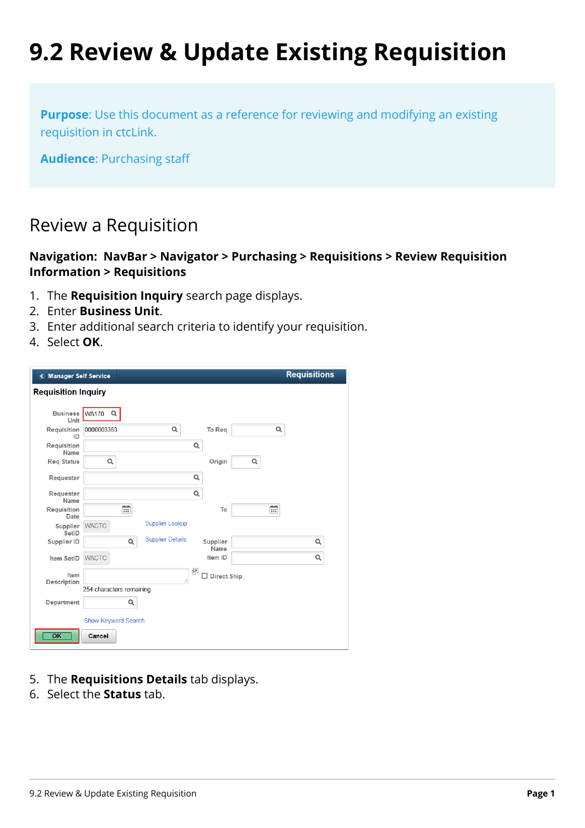# **9.2 Review & Update Existing Requisition**

**Purpose**: Use this document as a reference for reviewing and modifying an existing requisition in ctcLink.

**Audience**: Purchasing staff

## Review a Requisition

#### **Navigation: NavBar > Navigator > Purchasing > Requisitions > Review Requisition Information > Requisitions**

- 1. The **Requisition Inquiry** search page displays.
- 2. Enter **Business Unit**.
- 3. Enter additional search criteria to identify your requisition.
- 4. Select **OK**.

| <b>Manager Self Service</b>       |                          |                         |                                |          | <b>Requisitions</b> |
|-----------------------------------|--------------------------|-------------------------|--------------------------------|----------|---------------------|
| <b>Requisition Inquiry</b>        |                          |                         |                                |          |                     |
| <b>Business</b><br>Unit           | <b>WA170</b><br>$\alpha$ |                         |                                |          |                     |
| Requisition<br>ID                 | 0000003353               | Q                       | <b>To Rea</b>                  | $\alpha$ |                     |
| <b>Requisition</b><br><b>Name</b> |                          |                         | $\alpha$                       |          |                     |
| <b>Req Status</b>                 | Q                        |                         | Origin                         | Q        |                     |
| Requester                         |                          |                         | Q                              |          |                     |
| Requester<br><b>Name</b>          |                          |                         | Q                              |          |                     |
| <b>Requisition</b><br><b>Date</b> | Ë                        |                         | To                             | 前        |                     |
| <b>Supplier</b><br>SetID          | <b>WACTC</b>             | <b>Supplier Lookup</b>  |                                |          |                     |
| <b>Supplier ID</b>                | Q                        | <b>Supplier Details</b> | <b>Supplier</b><br><b>Name</b> |          | Q                   |
| <b>Item SetID</b>                 | <b>WACTC</b>             |                         | Item ID                        |          | Q                   |
| Item<br><b>Description</b>        |                          | d.                      | 國<br><b>Direct Ship</b>        |          |                     |
|                                   | 254 characters remaining |                         |                                |          |                     |
| Department                        | Q                        |                         |                                |          |                     |
|                                   | Show Keyword Search      |                         |                                |          |                     |
| OK                                | Cancel                   |                         |                                |          |                     |

- 5. The **Requisitions Details** tab displays.
- 6. Select the **Status** tab.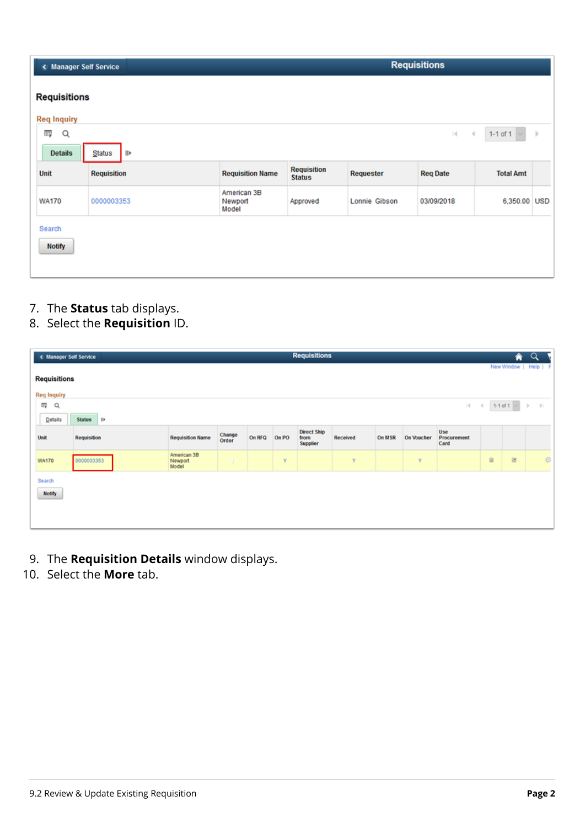| < Manager Self Service |                    |                                 |                                     |               |                 | <b>Requisitions</b> |      |  |  |  |  |  |  |  |
|------------------------|--------------------|---------------------------------|-------------------------------------|---------------|-----------------|---------------------|------|--|--|--|--|--|--|--|
| <b>Requisitions</b>    |                    |                                 |                                     |               |                 |                     |      |  |  |  |  |  |  |  |
| <b>Req Inquiry</b>     |                    |                                 |                                     |               |                 |                     |      |  |  |  |  |  |  |  |
| 羁<br>Q                 |                    |                                 |                                     |               | 4 <br>$\prec$   | $1-1$ of $1$        | $\,$ |  |  |  |  |  |  |  |
| <b>Details</b>         | Status<br>IIE      |                                 |                                     |               |                 |                     |      |  |  |  |  |  |  |  |
| <b>Unit</b>            | <b>Requisition</b> | <b>Requisition Name</b>         | <b>Requisition</b><br><b>Status</b> | Requester     | <b>Req Date</b> | <b>Total Amt</b>    |      |  |  |  |  |  |  |  |
| <b>WA170</b>           | 0000003353         | American 3B<br>Newport<br>Model | Approved                            | Lonnie Gibson | 03/09/2018      | 6,350.00 USD        |      |  |  |  |  |  |  |  |
| Search                 |                    |                                 |                                     |               |                 |                     |      |  |  |  |  |  |  |  |
| <b>Notify</b>          |                    |                                 |                                     |               |                 |                     |      |  |  |  |  |  |  |  |
|                        |                    |                                 |                                     |               |                 |                     |      |  |  |  |  |  |  |  |

7. The **Status** tab displays.

### 8. Select the **Requisition** ID.

| < Manager Self Service |             |                                 |                 |        |       | <b>Requisitions</b>                           |          |        |                   |                            |               | ♠                 | $\alpha$              |
|------------------------|-------------|---------------------------------|-----------------|--------|-------|-----------------------------------------------|----------|--------|-------------------|----------------------------|---------------|-------------------|-----------------------|
| <b>Requisitions</b>    |             |                                 |                 |        |       |                                               |          |        |                   |                            |               |                   | New Window   Help   F |
| <b>Req Inquiry</b>     |             |                                 |                 |        |       |                                               |          |        |                   |                            |               |                   |                       |
| æ<br>Q                 |             |                                 |                 |        |       |                                               |          |        |                   | 4                          | $\rightarrow$ | 1-1 of 1 $\sim$ 1 |                       |
| <b>Details</b>         | Status III  |                                 |                 |        |       |                                               |          |        |                   |                            |               |                   |                       |
| Unit                   | Requisition | <b>Requisition Name</b>         | Change<br>Order | On RFQ | On PO | <b>Direct Ship</b><br>from<br><b>Supplier</b> | Received | On MSR | <b>On Voucher</b> | Use<br>Procurement<br>Card |               |                   |                       |
| <b>WA170</b>           | 0000003353  | American 3B<br>Newport<br>Model | σ.              |        | Y     |                                               | Y        |        | Y                 |                            | $\boxtimes$   | $\boxtimes$       | $\odot$               |
| Search                 |             |                                 |                 |        |       |                                               |          |        |                   |                            |               |                   |                       |
| <b>Notify</b>          |             |                                 |                 |        |       |                                               |          |        |                   |                            |               |                   |                       |
|                        |             |                                 |                 |        |       |                                               |          |        |                   |                            |               |                   |                       |
|                        |             |                                 |                 |        |       |                                               |          |        |                   |                            |               |                   |                       |

- 9. The **Requisition Details** window displays.
- 10. Select the **More** tab.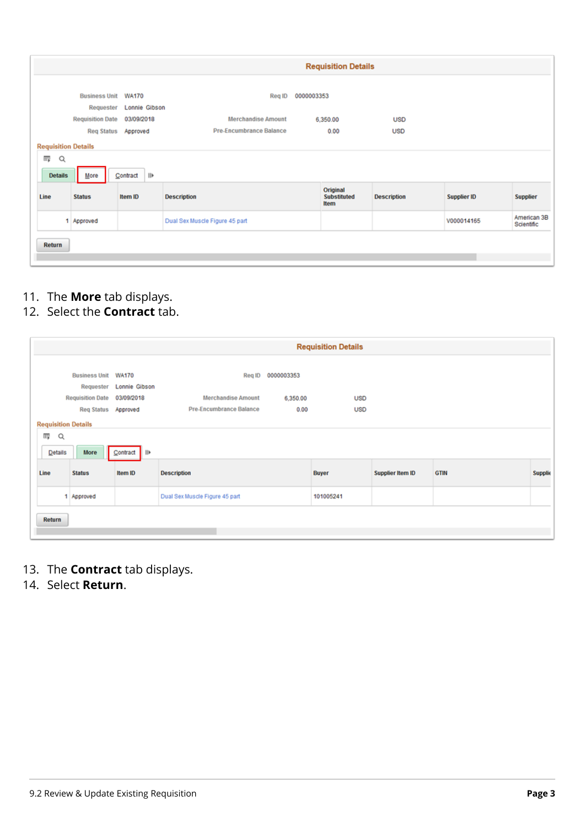|                            |                                   |                               |                                | <b>Requisition Details</b>             |                    |                    |                           |
|----------------------------|-----------------------------------|-------------------------------|--------------------------------|----------------------------------------|--------------------|--------------------|---------------------------|
|                            | <b>Business Unit</b><br>Requester | <b>WA170</b><br>Lonnie Gibson | Reg ID                         | 0000003353                             |                    |                    |                           |
|                            | <b>Requisition Date</b>           | 03/09/2018                    | <b>Merchandise Amount</b>      | 6,350.00                               | <b>USD</b>         |                    |                           |
|                            | <b>Req Status</b>                 | Approved                      | Pre-Encumbrance Balance        | 0.00                                   | <b>USD</b>         |                    |                           |
| <b>Requisition Details</b> |                                   |                               |                                |                                        |                    |                    |                           |
| 瞫<br>Q<br><b>Details</b>   | More                              | $\mathbb{I}$<br>Contract      |                                |                                        |                    |                    |                           |
| Line                       | <b>Status</b>                     | Item ID                       | <b>Description</b>             | Original<br><b>Substituted</b><br>Item | <b>Description</b> | <b>Supplier ID</b> | <b>Supplier</b>           |
|                            | 1 Approved                        |                               | Dual Sex Muscle Figure 45 part |                                        |                    | V000014165         | American 3B<br>Scientific |
| Return                     |                                   |                               |                                |                                        |                    |                    |                           |

- 11. The **More** tab displays.
- 12. Select the **Contract** tab.

|         |                             |                         |                                |                   | <b>Requisition Details</b> |                  |             |                |
|---------|-----------------------------|-------------------------|--------------------------------|-------------------|----------------------------|------------------|-------------|----------------|
|         | <b>Business Unit WA170</b>  | Requester Lonnie Gibson |                                | Req ID 0000003353 |                            |                  |             |                |
|         | Requisition Date 03/09/2018 |                         | <b>Merchandise Amount</b>      | 6,350.00          | <b>USD</b>                 |                  |             |                |
|         | Reg Status Approved         |                         | Pre-Encumbrance Balance        | 0.00              | <b>USD</b>                 |                  |             |                |
|         | <b>Requisition Details</b>  |                         |                                |                   |                            |                  |             |                |
| 砪<br>Q  |                             |                         |                                |                   |                            |                  |             |                |
| Details | More                        | Contract III            |                                |                   |                            |                  |             |                |
| Line    | <b>Status</b>               | Item ID                 | <b>Description</b>             |                   | <b>Buyer</b>               | Supplier Item ID | <b>GTIN</b> | <b>Supplie</b> |
|         | 1 Approved                  |                         | Dual Sex Muscle Figure 45 part |                   | 101005241                  |                  |             |                |
| Return  |                             |                         |                                |                   |                            |                  |             |                |

- 13. The **Contract** tab displays.
- 14. Select **Return**.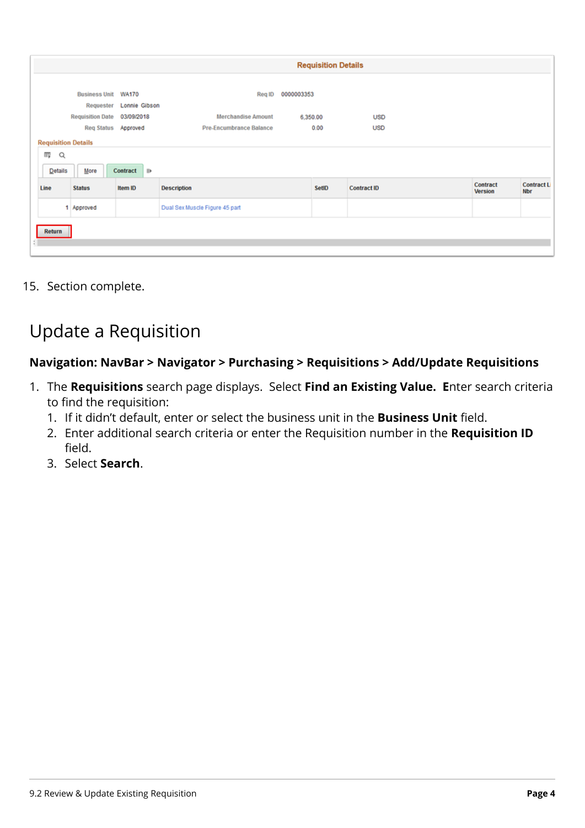|                            | <b>Requisition Details</b>       |                        |                                |            |       |                    |                            |                                 |  |  |  |  |
|----------------------------|----------------------------------|------------------------|--------------------------------|------------|-------|--------------------|----------------------------|---------------------------------|--|--|--|--|
|                            | Business Unit WA170<br>Requester | Lonnie Gibson          | Reg ID                         | 0000003353 |       |                    |                            |                                 |  |  |  |  |
|                            | <b>Requisition Date</b>          | 03/09/2018             | <b>Merchandise Amount</b>      | 6,350.00   |       | <b>USD</b>         |                            |                                 |  |  |  |  |
|                            |                                  | Req Status Approved    | Pre-Encumbrance Balance        |            | 0.00  | <b>USD</b>         |                            |                                 |  |  |  |  |
| <b>Requisition Details</b> |                                  |                        |                                |            |       |                    |                            |                                 |  |  |  |  |
| 冊<br>Q                     |                                  |                        |                                |            |       |                    |                            |                                 |  |  |  |  |
| Details                    | More                             | Contract<br><b>IIE</b> |                                |            |       |                    |                            |                                 |  |  |  |  |
| Line                       | <b>Status</b>                    | Item ID                | <b>Description</b>             |            | SetID | <b>Contract ID</b> | Contract<br><b>Version</b> | <b>Contract L</b><br><b>Nbr</b> |  |  |  |  |
|                            | Approved<br>٠                    |                        | Dual Sex Muscle Figure 45 part |            |       |                    |                            |                                 |  |  |  |  |
| Return                     |                                  |                        |                                |            |       |                    |                            |                                 |  |  |  |  |
|                            |                                  |                        |                                |            |       |                    |                            |                                 |  |  |  |  |

15. Section complete.

## Update a Requisition

#### **Navigation: NavBar > Navigator > Purchasing > Requisitions > Add/Update Requisitions**

- 1. The **Requisitions** search page displays. Select **Find an Existing Value. E**nter search criteria to find the requisition:
	- 1. If it didn't default, enter or select the business unit in the **Business Unit** field.
	- 2. Enter additional search criteria or enter the Requisition number in the **Requisition ID**  field.
	- 3. Select **Search**.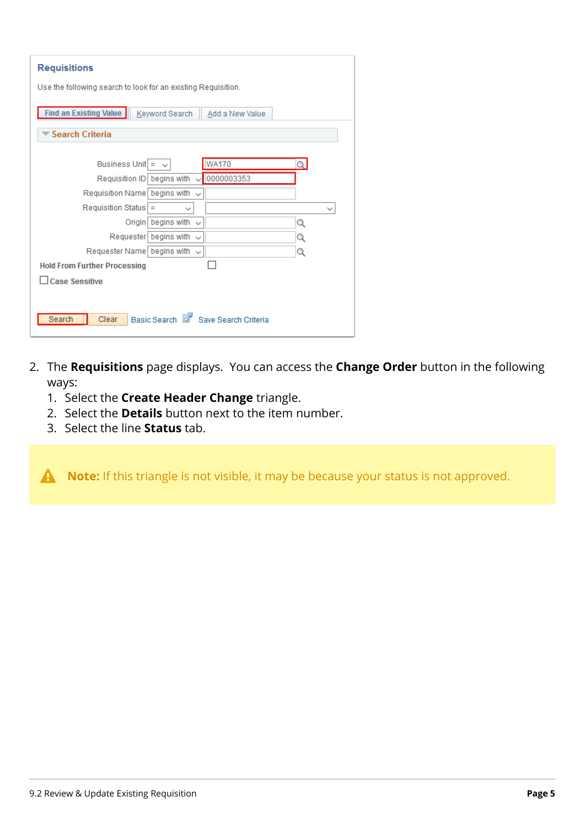| <b>Requisitions</b>                                           |   |  |  |  |  |  |  |  |  |
|---------------------------------------------------------------|---|--|--|--|--|--|--|--|--|
| Use the following search to look for an existing Requisition. |   |  |  |  |  |  |  |  |  |
| Find an Existing Value<br>Keyword Search<br>Add a New Value   |   |  |  |  |  |  |  |  |  |
| <b>Search Criteria</b>                                        |   |  |  |  |  |  |  |  |  |
|                                                               |   |  |  |  |  |  |  |  |  |
| <b>WA170</b><br>Business Unit $=$ $\sim$                      | O |  |  |  |  |  |  |  |  |
| Requisition ID   begins with $\sqrt{10000003353}$             |   |  |  |  |  |  |  |  |  |
| Requisition Name begins with<br>$\checkmark$                  |   |  |  |  |  |  |  |  |  |
| Requisition Status =<br>$\checkmark$                          |   |  |  |  |  |  |  |  |  |
| Origin begins with<br>$\checkmark$                            | Q |  |  |  |  |  |  |  |  |
| Requester begins with<br>$\checkmark$                         | Q |  |  |  |  |  |  |  |  |
| Requester Name begins with $\sim$                             | Q |  |  |  |  |  |  |  |  |
| <b>Hold From Further Processing</b>                           |   |  |  |  |  |  |  |  |  |
| <b>Case Sensitive</b>                                         |   |  |  |  |  |  |  |  |  |
|                                                               |   |  |  |  |  |  |  |  |  |
|                                                               |   |  |  |  |  |  |  |  |  |
| Basic Search & Save Search Criteria<br>Search<br>Clear        |   |  |  |  |  |  |  |  |  |
|                                                               |   |  |  |  |  |  |  |  |  |

- 2. The **Requisitions** page displays. You can access the **Change Order** button in the following ways:
	- 1. Select the **Create Header Change** triangle.
	- 2. Select the **Details** button next to the item number.
	- 3. Select the line **Status** tab.

A Note: If this triangle is not visible, it may be because your status is not approved.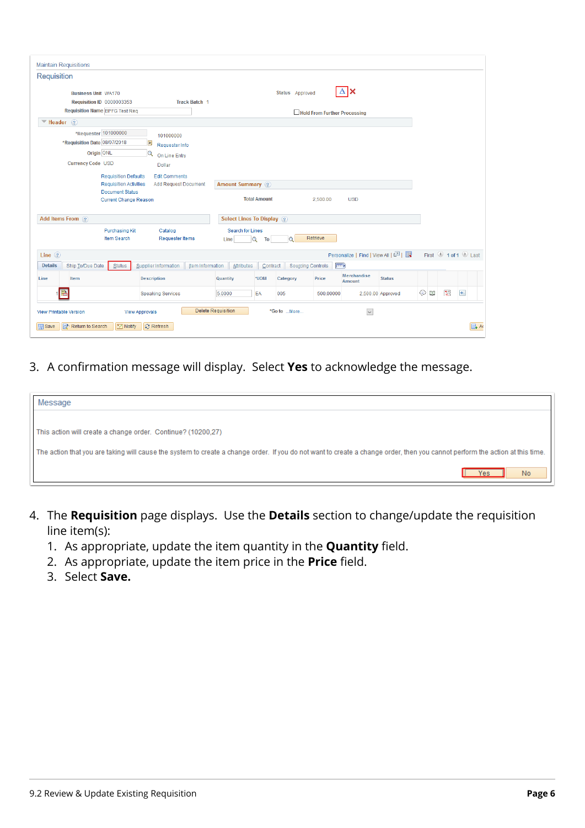| <b>Maintain Requisitions</b>                                           |                                                                                                                                                              |                                                                                                                                |                           |                                      |                     |                 |                                            |                                   |                   |            |   |                     |
|------------------------------------------------------------------------|--------------------------------------------------------------------------------------------------------------------------------------------------------------|--------------------------------------------------------------------------------------------------------------------------------|---------------------------|--------------------------------------|---------------------|-----------------|--------------------------------------------|-----------------------------------|-------------------|------------|---|---------------------|
| Requisition                                                            |                                                                                                                                                              |                                                                                                                                |                           |                                      |                     |                 |                                            |                                   |                   |            |   |                     |
| <b>Business Unit WA170</b>                                             | <b>Requisition ID 0000003353</b>                                                                                                                             |                                                                                                                                | <b>Track Batch 1</b>      |                                      |                     | Status Approved |                                            |                                   |                   |            |   |                     |
|                                                                        | <b>Requisition Name BPFG Test Req</b>                                                                                                                        |                                                                                                                                |                           |                                      |                     |                 | Hold From Further Processing               |                                   |                   |            |   |                     |
| $\Psi$ Header ?                                                        |                                                                                                                                                              |                                                                                                                                |                           |                                      |                     |                 |                                            |                                   |                   |            |   |                     |
| *Requisition Date 08/07/2018<br><b>Currency Code USD</b>               | *Requester 101000000<br>Origin ONL<br><b>Requisition Defaults</b><br><b>Requisition Activities</b><br><b>Document Status</b><br><b>Current Change Reason</b> | 101000000<br>E<br>Requester Info<br>$\alpha$<br>On Line Entry<br>Dollar<br><b>Edit Comments</b><br><b>Add Request Document</b> |                           | <b>Amount Summary</b> ?              | <b>Total Amount</b> |                 | 2,500.00                                   | <b>USD</b>                        |                   |            |   |                     |
| Add Items From (?)                                                     |                                                                                                                                                              |                                                                                                                                |                           | Select Lines To Display ?            |                     |                 |                                            |                                   |                   |            |   |                     |
|                                                                        | <b>Purchasing Kit</b><br>Item Search                                                                                                                         | Catalog<br><b>Requester Items</b>                                                                                              |                           | <b>Search for Lines</b><br>Q<br>Line | To                  | $\circ$         | Retrieve                                   |                                   |                   |            |   |                     |
| Line $(2)$                                                             |                                                                                                                                                              |                                                                                                                                |                           |                                      |                     |                 |                                            | Personalize   Find   View All   2 |                   |            |   | First 1 of 1 2 Last |
| <b>Details</b><br>Ship To/Due Date                                     | Status                                                                                                                                                       | Supplier Information                                                                                                           | Item Information          | Attributes                           | Contract            |                 | $\boxed{\Box}$<br><b>Sourcing Controls</b> |                                   |                   |            |   |                     |
| Item<br>Line                                                           |                                                                                                                                                              | <b>Description</b>                                                                                                             | Quantity                  |                                      | *UOM                | Category        | Price                                      | Merchandise<br><b>Amount</b>      | <b>Status</b>     |            |   |                     |
|                                                                        |                                                                                                                                                              | <b>Speaking Services</b>                                                                                                       | 5.0000                    |                                      | EA                  | 005             | 500.00000                                  |                                   | 2,500.00 Approved | $\odot$ of | 圈 | $+$                 |
| <b>View Printable Version</b><br>The Return to Search<br><b>同</b> Save | <b>FI</b> Notify                                                                                                                                             | <b>View Approvals</b><br><b>C</b> Refresh                                                                                      | <b>Delete Requisition</b> |                                      |                     | *Go to More     |                                            | $\backsim$                        |                   |            |   | <b>B</b> A          |

3. A confirmation message will display. Select **Yes** to acknowledge the message.

| Message                                                                                                                                                                      |
|------------------------------------------------------------------------------------------------------------------------------------------------------------------------------|
|                                                                                                                                                                              |
| This action will create a change order. Continue? (10200,27)                                                                                                                 |
| The action that you are taking will cause the system to create a change order. If you do not want to create a change order, then you cannot perform the action at this time. |
| No<br><b>Yes</b>                                                                                                                                                             |

- 4. The **Requisition** page displays. Use the **Details** section to change/update the requisition line item(s):
	- 1. As appropriate, update the item quantity in the **Quantity** field.
	- 2. As appropriate, update the item price in the **Price** field.
	- 3. Select **Save.**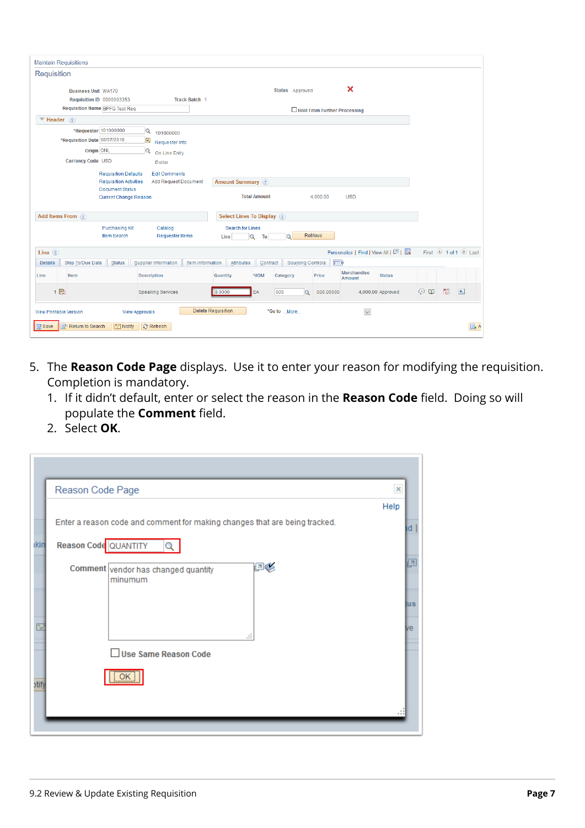| <b>Maintain Requisitions</b>                                                                                                                                   |                                                                                                                                          |                                      |                                              |                       |  |  |  |  |
|----------------------------------------------------------------------------------------------------------------------------------------------------------------|------------------------------------------------------------------------------------------------------------------------------------------|--------------------------------------|----------------------------------------------|-----------------------|--|--|--|--|
| Requisition                                                                                                                                                    |                                                                                                                                          |                                      |                                              |                       |  |  |  |  |
| <b>Business Unit WA170</b><br>Requisition ID 0000003353                                                                                                        | <b>Track Batch 1</b>                                                                                                                     | Status Approved                      | $\boldsymbol{\mathsf{x}}$                    |                       |  |  |  |  |
| <b>Requisition Name BPFG Test Req</b>                                                                                                                          |                                                                                                                                          |                                      | Hold From Further Processing                 |                       |  |  |  |  |
| $\blacktriangledown$ Header (?)                                                                                                                                |                                                                                                                                          |                                      |                                              |                       |  |  |  |  |
| *Requester 101000000<br>$\mathbf Q$<br>*Requisition Date 08/07/2018<br>$\overline{\mathbf{B}}$<br>Origin ONL<br>Q<br><b>Currency Code USD</b><br><b>Dollar</b> | 101000000<br>Requester Info<br>On Line Entry                                                                                             |                                      |                                              |                       |  |  |  |  |
| <b>Requisition Defaults</b>                                                                                                                                    | <b>Edit Comments</b>                                                                                                                     |                                      |                                              |                       |  |  |  |  |
| Document Status<br><b>Current Change Reason</b>                                                                                                                | <b>Requisition Activities</b><br><b>Add Request Document</b><br><b>Amount Summary</b> ?<br><b>Total Amount</b><br>4.000.00<br><b>USD</b> |                                      |                                              |                       |  |  |  |  |
| Add Items From (?)                                                                                                                                             |                                                                                                                                          | <b>Select Lines To Display (?)</b>   |                                              |                       |  |  |  |  |
| <b>Purchasing Kit</b><br>Item Search                                                                                                                           | Catalog<br><b>Search for Lines</b><br><b>Requester Items</b><br>Line                                                                     | $\circ$<br>Q<br>To                   | Retrieve                                     |                       |  |  |  |  |
| Line $(2)$                                                                                                                                                     |                                                                                                                                          |                                      | Personalize   Find   View All   2            | First 1 of 1 2 Last   |  |  |  |  |
| Ship To/Due Date<br>Status<br><b>Details</b><br>Supplier Information                                                                                           | Item Information<br>Attributes                                                                                                           | <b>Sourcing Controls</b><br>Contract | $\boxed{=}$                                  |                       |  |  |  |  |
| Item<br><b>Description</b><br>Line                                                                                                                             | Quantity                                                                                                                                 | *UOM<br>Category                     | <b>Merchandise</b><br>Price<br><b>Amount</b> | <b>Status</b>         |  |  |  |  |
| 1 晶<br><b>Speaking Services</b>                                                                                                                                | 8.0000                                                                                                                                   | 005<br>EA<br>$\alpha$                | 500.00000<br>4,000.00 Approved               | 图<br>$+$<br>$\odot$ 0 |  |  |  |  |
| <b>View Printable Version</b><br><b>View Approvals</b>                                                                                                         | <b>Delete Requisition</b>                                                                                                                | *Go to More                          | $\check{~}$                                  |                       |  |  |  |  |
| <b>日</b> Save<br>The Return to Search<br>$\boxed{=}$ Notify<br><b>C</b> Refresh                                                                                |                                                                                                                                          |                                      |                                              | $\mathbb{R}$ A        |  |  |  |  |

- 5. The **Reason Code Page** displays. Use it to enter your reason for modifying the requisition. Completion is mandatory.
	- 1. If it didn't default, enter or select the reason in the **Reason Code** field. Doing so will populate the **Comment** field.
	- 2. Select **OK**.

|       | Reason Code Page                                                           | $\times$ |
|-------|----------------------------------------------------------------------------|----------|
|       |                                                                            | Help     |
|       | Enter a reason code and comment for making changes that are being tracked. | ١d       |
| ikin  | Reason Code QUANTITY                                                       |          |
|       | ÞØ<br>Comment vendor has changed quantity<br>minumum                       | łя       |
|       |                                                                            | tus      |
| r.    | a.                                                                         | мe       |
|       | $\Box$ Use Same Reason Code                                                |          |
| otify | OK                                                                         |          |
|       |                                                                            |          |